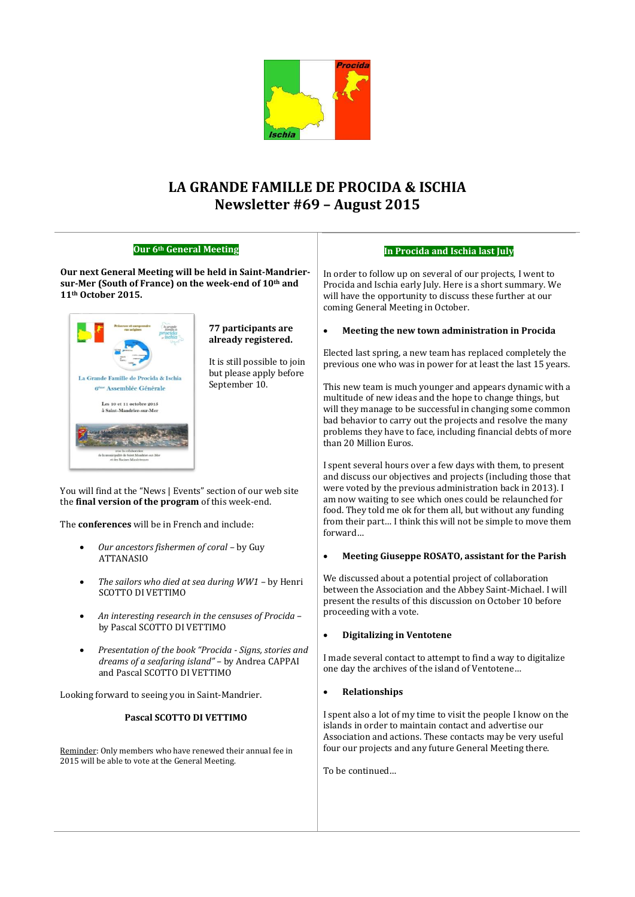

# **LA GRANDE FAMILLE DE PROCIDA & ISCHIA Newsletter #69 – August 2015**

| Our 6th General Meeting                                                                                                                                                                                                                                                                                                                                  |                                                                                                                        | In Procida and Ischia last July                                                                                                                                                                                                                                                                                                                                                                                                                                                                                                             |  |
|----------------------------------------------------------------------------------------------------------------------------------------------------------------------------------------------------------------------------------------------------------------------------------------------------------------------------------------------------------|------------------------------------------------------------------------------------------------------------------------|---------------------------------------------------------------------------------------------------------------------------------------------------------------------------------------------------------------------------------------------------------------------------------------------------------------------------------------------------------------------------------------------------------------------------------------------------------------------------------------------------------------------------------------------|--|
| Our next General Meeting will be held in Saint-Mandrier-<br>sur-Mer (South of France) on the week-end of 10th and<br>11 <sup>th</sup> October 2015.                                                                                                                                                                                                      |                                                                                                                        | In order to follow up on several of our projects, I went to<br>Procida and Ischia early July. Here is a short summary. We<br>will have the opportunity to discuss these further at our<br>coming General Meeting in October.                                                                                                                                                                                                                                                                                                                |  |
| La Grande Famille de Procida & Ischia<br>G <sup>ème</sup> Assemblée Générale<br>Les 10 et 11 octobre 2015<br>à Saint-Mandrier-sur-Mer<br>scipalité de Saint-Mandrier-sur-M                                                                                                                                                                               | 77 participants are<br>already registered.<br>It is still possible to join<br>but please apply before<br>September 10. | Meeting the new town administration in Procida<br>$\bullet$<br>Elected last spring, a new team has replaced completely the<br>previous one who was in power for at least the last 15 years.<br>This new team is much younger and appears dynamic with a<br>multitude of new ideas and the hope to change things, but<br>will they manage to be successful in changing some common<br>bad behavior to carry out the projects and resolve the many<br>problems they have to face, including financial debts of more<br>than 20 Million Euros. |  |
| et des Racines Mandréenne<br>You will find at the "News   Events" section of our web site<br>the final version of the program of this week-end.<br>The conferences will be in French and include:<br>Our ancestors fishermen of coral - by Guy                                                                                                           |                                                                                                                        | I spent several hours over a few days with them, to present<br>and discuss our objectives and projects (including those that<br>were voted by the previous administration back in 2013). I<br>am now waiting to see which ones could be relaunched for<br>food. They told me ok for them all, but without any funding<br>from their part I think this will not be simple to move them<br>forward<br>Meeting Giuseppe ROSATO, assistant for the Parish                                                                                       |  |
| <b>ATTANASIO</b><br>The sailors who died at sea during WW1 - by Henri<br>$\bullet$<br><b>SCOTTO DI VETTIMO</b><br>An interesting research in the censuses of Procida -<br>٠<br>by Pascal SCOTTO DI VETTIMO<br>Presentation of the book "Procida - Signs, stories and<br>dreams of a seafaring island" - by Andrea CAPPAI<br>and Pascal SCOTTO DI VETTIMO |                                                                                                                        | $\bullet$<br>We discussed about a potential project of collaboration<br>between the Association and the Abbey Saint-Michael. I will<br>present the results of this discussion on October 10 before<br>proceeding with a vote.<br><b>Digitalizing in Ventotene</b><br>$\bullet$<br>I made several contact to attempt to find a way to digitalize<br>one day the archives of the island of Ventotene                                                                                                                                          |  |
| Looking forward to seeing you in Saint-Mandrier.                                                                                                                                                                                                                                                                                                         |                                                                                                                        | Relationships<br>$\bullet$                                                                                                                                                                                                                                                                                                                                                                                                                                                                                                                  |  |
| Pascal SCOTTO DI VETTIMO<br>Reminder: Only members who have renewed their annual fee in<br>2015 will be able to vote at the General Meeting.                                                                                                                                                                                                             |                                                                                                                        | I spent also a lot of my time to visit the people I know on the<br>islands in order to maintain contact and advertise our<br>Association and actions. These contacts may be very useful<br>four our projects and any future General Meeting there.<br>To be continued                                                                                                                                                                                                                                                                       |  |